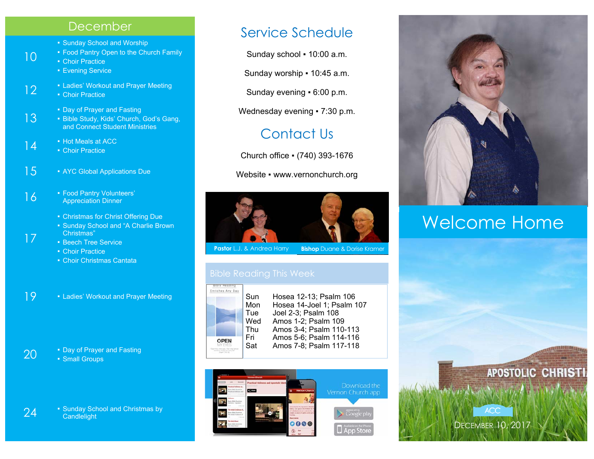## December

- Sunday School and Worship
- **Food Pantry Open to the Church Family**

■ Choir Practice

10

17

- **Evening Service**
- 12 **Example 2 Ladies' Workout and Prayer Meeting** 
	- Choir Practice
		-
- 13 Day of Prayer and Fasting Bible Study, Kids' Church, God's Gang, and Connect Student Ministries
- 14  **Hot Meals at ACC** 
	- Choir Practice
- 15 AYC Global Applications Due
- 16  **Food Pantry Volunteers'** Appreciation Dinner
	- **Christmas for Christ Offering Due**
	- Sunday School and "A Charlie Brown Christmas"
	- **Beech Tree Service**
	- **Choir Practice**
	- **Choir Christmas Cantata**

19 • Ladies' Workout and Prayer Meeting

20 **•** Day of Prayer and Fasting **• Small Groups** 

24 • Sunday School and Christmas by<br>Condigitative **Candlelight** 

## Service Schedule

Sunday school ▪ 10:00 a.m.

Sunday worship • 10:45 a.m.

Sunday evening ▪ 6:00 p.m.

Wednesday evening • 7:30 p.m.

## Contact Us

Church office ▪ (740) 393-1676

Website • www.vernonchurch.org



**Pastor** L.J. & Andrea Harry **Bishop** Duane & Dorise Kramer



Sun Hosea 12-13; Psalm 106 Mon Hosea 14-Joel 1; Psalm 107 Tue Joel 2-3; Psalm 108<br>Wed Amos 1-2: Psalm 109 Amos 1-2; Psalm 109 Thu Amos 3-4; Psalm 110-113 Fri Amos 5-6; Psalm 114-116 Sat Amos 7-8; Psalm 117-118





# Welcome Home